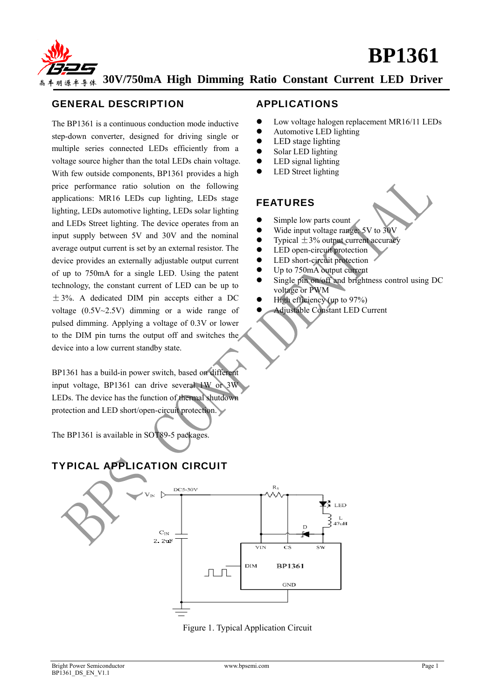



### GENERAL DESCRIPTION

The BP1361 is a continuous conduction mode inductive step-down converter, designed for driving single or multiple series connected LEDs efficiently from a voltage source higher than the total LEDs chain voltage. With few outside components, BP1361 provides a high price performance ratio solution on the following applications: MR16 LEDs cup lighting, LEDs stage lighting, LEDs automotive lighting, LEDs solar lighting and LEDs Street lighting. The device operates from an input supply between 5V and 30V and the nominal average output current is set by an external resistor. The device provides an externally adjustable output current of up to 750mA for a single LED. Using the patent technology, the constant current of LED can be up to  $\pm$  3%. A dedicated DIM pin accepts either a DC voltage (0.5V~2.5V) dimming or a wide range of pulsed dimming. Applying a voltage of 0.3V or lower to the DIM pin turns the output off and switches the device into a low current standby state.

BP1361 has a build-in power switch, based on different input voltage, BP1361 can drive several 1W or 3W LEDs. The device has the function of thermal shutdown protection and LED short/open-circuit protection.

The BP1361 is available in SOT89-5 packages.

# TYPICAL APPLICATION CIRCUIT



Figure 1. Typical Application Circuit

- Low voltage halogen replacement MR16/11 LEDs
- Automotive LED lighting
- $\bullet$  LED stage lighting
- Solar LED lighting
- $\bullet$  LED signal lighting
- LED Street lighting

# FEATURES

- $\bullet$  Simple low parts count
- Wide input voltage range: 5V to 30V
- Typical  $\pm$ 3% output current accuracy<br>• LED open-circuit protection
- LED open-circuit protection
- LED short-circuit protection
- Up to 750mA output current
- Single pin on/off and brightness control using DC voltage or PWM
- High efficiency (up to  $97\%$ )
- Adjustable Constant LED Current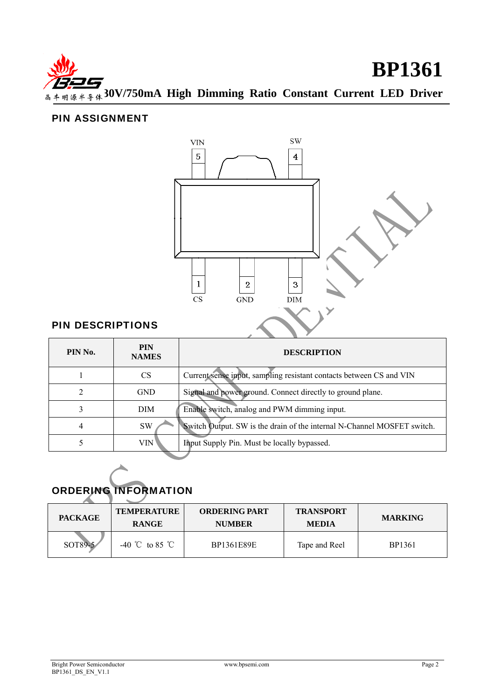

# PIN ASSIGNMENT



# PIN DESCRIPTIONS

| PIN No. | <b>PIN</b><br><b>NAMES</b> | <b>DESCRIPTION</b>                                                      |
|---------|----------------------------|-------------------------------------------------------------------------|
|         | CS                         | Current sense input, sampling resistant contacts between CS and VIN     |
|         | <b>GND</b>                 | Signal and power ground. Connect directly to ground plane.              |
| 3       | <b>DIM</b>                 | Enable switch, analog and PWM dimming input.                            |
| 4       | SW                         | Switch Output. SW is the drain of the internal N-Channel MOSFET switch. |
|         | VIN                        | Input Supply Pin. Must be locally bypassed.                             |

# ORDERING INFORMATION

| <b>PACKAGE</b> | <b>TEMPERATURE</b><br><b>RANGE</b> | <b>ORDERING PART</b><br><b>NUMBER</b> | <b>TRANSPORT</b><br><b>MEDIA</b> | <b>MARKING</b> |
|----------------|------------------------------------|---------------------------------------|----------------------------------|----------------|
| SOT89-5        | $-40$ °C to 85 °C                  | BP1361E89E                            | Tape and Reel                    | BP1361         |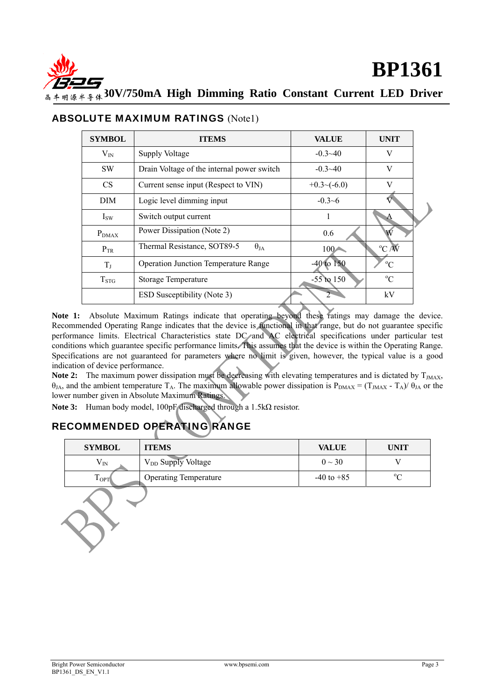

| <b>SYMBOL</b> | <b>ITEMS</b>                                 | <b>VALUE</b>     | <b>UNIT</b>    |
|---------------|----------------------------------------------|------------------|----------------|
| $V_{IN}$      | Supply Voltage                               | $-0.3 - 40$      | V              |
| <b>SW</b>     | Drain Voltage of the internal power switch   | $-0.3 - 40$      | V              |
| <b>CS</b>     | Current sense input (Respect to VIN)         | $+0.3$ $-(-6.0)$ | V              |
| <b>DIM</b>    | Logic level dimming input                    | $-0.3-6$         |                |
| $I_{SW}$      | Switch output current                        |                  |                |
| $P_{DMAX}$    | Power Dissipation (Note 2)                   | 0.6              | W              |
| $P_{TR}$      | Thermal Resistance, SOT89-5<br>$\theta_{JA}$ | $100-$           | $\rm ^{o}C$ /W |
| $T_{J}$       | <b>Operation Junction Temperature Range</b>  | $-40$ to 150     | $^{\circ}C$    |
| $T_{STG}$     | <b>Storage Temperature</b>                   | $-55$ to $150$   | $^{\circ}C$    |
|               | <b>ESD Susceptibility (Note 3)</b>           |                  | kV             |

### ABSOLUTE MAXIMUM RATINGS (Note1)

**Note 1:** Absolute Maximum Ratings indicate that operating beyond these ratings may damage the device. Recommended Operating Range indicates that the device is functional in that range, but do not guarantee specific performance limits. Electrical Characteristics state DC and AC electrical specifications under particular test conditions which guarantee specific performance limits. This assumes that the device is within the Operating Range. Specifications are not guaranteed for parameters where no limit is given, however, the typical value is a good indication of device performance.

Note 2: The maximum power dissipation must be decreasing with elevating temperatures and is dictated by T<sub>JMAX</sub>,  $θ<sub>JA</sub>$ , and the ambient temperature T<sub>A</sub>. The maximum allowable power dissipation is  $P<sub>DMAX</sub> = (T<sub>JMAX</sub> - T<sub>A</sub>)/θ<sub>JA</sub>$  or the lower number given in Absolute Maximum Ratings.

**Note 3:** Human body model, 100pF discharged through a 1.5kΩ resistor.

# RECOMMENDED OPERATING RANGE

| <b>SYMBOL</b>                    | <b>ITEMS</b>                   | <b>VALUE</b>   | UNIT      |
|----------------------------------|--------------------------------|----------------|-----------|
| $\mathsf{v}_{\mathbb{N}}$        | V <sub>DD</sub> Supply Voltage | $0 \sim 30$    |           |
| $\mathbf{r}$<br>$1_{\text{OPT}}$ | <b>Operating Temperature</b>   | $-40$ to $+85$ | $0\Omega$ |
|                                  |                                |                |           |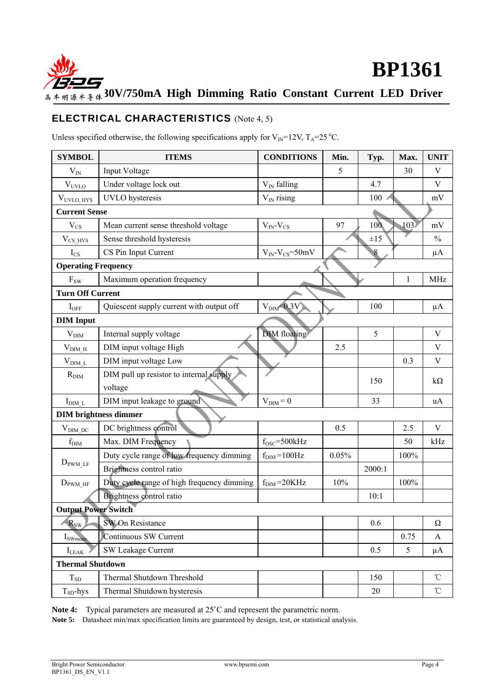

# ELECTRICAL CHARACTERISTICS (Note 4, 5)

Unless specified otherwise, the following specifications apply for  $V_{IN}$ =12V, T<sub>A</sub>=25 °C.

| <b>SYMBOL</b>              | <b>ITEMS</b>                               | <b>CONDITIONS</b>           | Min.  | Typ.     | Max.             | <b>UNIT</b>     |  |
|----------------------------|--------------------------------------------|-----------------------------|-------|----------|------------------|-----------------|--|
| $V_{IN}$                   | Input Voltage                              |                             | 5     |          | 30               | V               |  |
| $V_{UVLO}$                 | Under voltage lock out                     | $V_{IN}$ falling            |       | 4.7      |                  | V               |  |
| V <sub>UVLO, HYS</sub>     | <b>UVLO</b> hysteresis                     | $V_{IN}$ rising             |       | 100      |                  | mV              |  |
| <b>Current Sense</b>       |                                            |                             |       |          |                  |                 |  |
| $V_{CS}$                   | Mean current sense threshold voltage       | $V_{IN}$ - $V_{CS}$         | 97    | 100      | 103 <sup>2</sup> | mV              |  |
| $V_{CS HYS}$               | Sense threshold hysteresis                 |                             |       | $\pm 15$ |                  | $\frac{0}{0}$   |  |
| $I_{CS}$                   | CS Pin Input Current                       | $V_{IN}$ - $V_{CS}$ =50mV   |       | 8        |                  | $\mu A$         |  |
| <b>Operating Frequency</b> |                                            |                             |       |          |                  |                 |  |
| $F_{SW}$                   | Maximum operation frequency                |                             |       |          | 1                | <b>MHz</b>      |  |
| <b>Turn Off Current</b>    |                                            |                             |       |          |                  |                 |  |
| $I_{OFF}$                  | Quiescent supply current with output off   | V <sub>DIM</sub> < 0.3 V    |       | 100      |                  | $\mu A$         |  |
| <b>DIM</b> Input           |                                            |                             |       |          |                  |                 |  |
| $V_{\text{DIM}}$           | Internal supply voltage                    | DIM floating                |       | 5        |                  | $\mathbf V$     |  |
| $\rm V_{\rm DIM\_H}$       | DIM input voltage High                     |                             | 2.5   |          |                  | $\mathbf V$     |  |
| $V_{DIM~L}$                | DIM input voltage Low                      |                             |       |          | 0.3              | V               |  |
| $R_{\text{DIM}}$           | DIM pull up resistor to internal supply    |                             |       | 150      |                  | $k\Omega$       |  |
|                            | voltage                                    |                             |       |          |                  |                 |  |
| $I_{\text{DIM}_L}$         | DIM input leakage to ground                | $V_{\text{DIM}}=0$          |       | 33       |                  | uA              |  |
|                            | <b>DIM</b> brightness dimmer               |                             |       |          |                  |                 |  |
| $V_{DIM\ DC}$              | DC brightness control                      |                             | 0.5   |          | 2.5              | V               |  |
| $f_{\text{DIM}}$           | Max. DIM Frequency                         | $fOSC=500kHz$               |       |          | 50               | kHz             |  |
|                            | Duty cycle range of low frequency dimming  | $\rm f_{\rm DIM}\!=\!100Hz$ | 0.05% |          | 100%             |                 |  |
| $D_{\text{PWM LF}}$        | Brightness control ratio                   |                             |       | 2000:1   |                  |                 |  |
| $D_{\text{PWM HF}}$        | Duty cycle range of high frequency dimming | $f_{\text{DIM}} = 20KHz$    | 10%   |          | 100%             |                 |  |
|                            | Brightness control ratio                   |                             |       | 10:1     |                  |                 |  |
| <b>Output Power Switch</b> |                                            |                             |       |          |                  |                 |  |
| $R_{SW}$                   | SW On Resistance                           |                             |       | 0.6      |                  | Ω               |  |
| $I_{SWmean}$               | Continuous SW Current                      |                             |       |          | 0.75             | A               |  |
| $I_{LEAK}$                 | <b>SW Leakage Current</b>                  |                             |       | 0.5      | 5                | $\mu A$         |  |
| <b>Thermal Shutdown</b>    |                                            |                             |       |          |                  |                 |  |
| $T_{SD}$                   | Thermal Shutdown Threshold                 |                             |       | 150      |                  | $\rm ^{\circ}C$ |  |
| $T_{SD}$ -hys              | Thermal Shutdown hysteresis                |                             |       | 20       |                  | $\rm ^{\circ}C$ |  |

**Note 4:** Typical parameters are measured at 25˚C and represent the parametric norm.

**Note 5:** Datasheet min/max specification limits are guaranteed by design, test, or statistical analysis.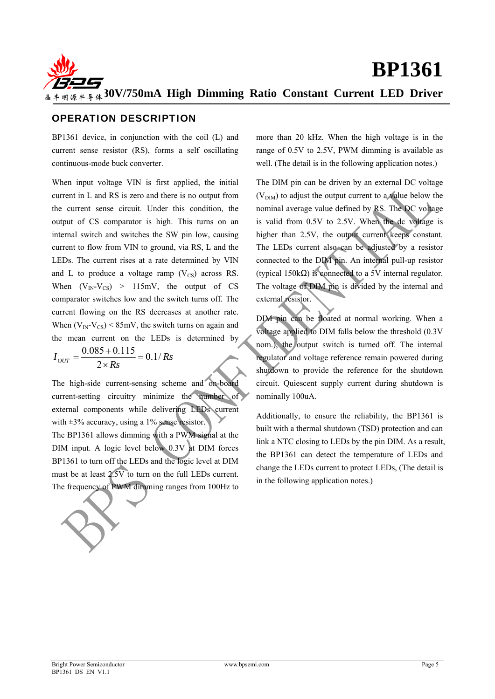

# OPERATION DESCRIPTION

BP1361 device, in conjunction with the coil (L) and current sense resistor (RS), forms a self oscillating continuous-mode buck converter.

When input voltage VIN is first applied, the initial current in L and RS is zero and there is no output from the current sense circuit. Under this condition, the output of CS comparator is high. This turns on an internal switch and switches the SW pin low, causing current to flow from VIN to ground, via RS, L and the LEDs. The current rises at a rate determined by VIN and L to produce a voltage ramp  $(V_{CS})$  across RS. When  $(V_{IN}-V_{CS}) > 115 \text{mV}$ , the output of CS comparator switches low and the switch turns off. The current flowing on the RS decreases at another rate. When  $(V_{IN} - V_{CS})$  < 85mV, the switch turns on again and the mean current on the LEDs is determined by

$$
I_{OUT} = \frac{0.085 + 0.115}{2 \times Rs} = 0.1 / Rs
$$

The high-side current-sensing scheme and on-board current-setting circuitry minimize the number of external components while delivering LEDs current with  $\pm 3\%$  accuracy, using a 1% sense resistor.

The BP1361 allows dimming with a PWM signal at the DIM input. A logic level below 0.3V at DIM forces BP1361 to turn off the LEDs and the logic level at DIM must be at least 2.5V to turn on the full LEDs current. The frequency of PWM dimming ranges from 100Hz to more than 20 kHz. When the high voltage is in the range of 0.5V to 2.5V, PWM dimming is available as well. (The detail is in the following application notes.)

The DIM pin can be driven by an external DC voltage  $(V<sub>DIM</sub>)$  to adjust the output current to a value below the nominal average value defined by RS. The DC voltage is valid from 0.5V to 2.5V. When the dc voltage is higher than 2.5V, the output current keeps constant. The LEDs current also can be adjusted by a resistor connected to the DIM pin. An internal pull-up resistor (typical 150kΩ) is connected to a 5V internal regulator. The voltage of DIM pin is divided by the internal and external resistor.

DIM pin can be floated at normal working. When a voltage applied to DIM falls below the threshold (0.3V nom.), the output switch is turned off. The internal regulator and voltage reference remain powered during shutdown to provide the reference for the shutdown circuit. Quiescent supply current during shutdown is nominally 100uA.

Additionally, to ensure the reliability, the BP1361 is built with a thermal shutdown (TSD) protection and can link a NTC closing to LEDs by the pin DIM. As a result, the BP1361 can detect the temperature of LEDs and change the LEDs current to protect LEDs, (The detail is in the following application notes.)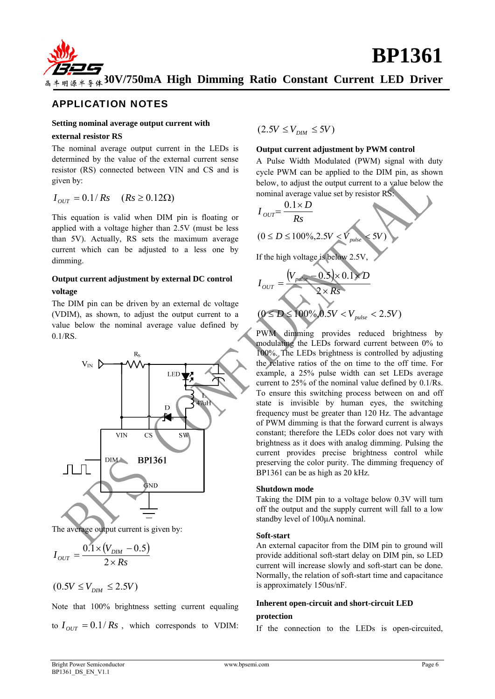

### APPLICATION NOTES

## **Setting nominal average output current with**

#### **external resistor RS**

The nominal average output current in the LEDs is determined by the value of the external current sense resistor (RS) connected between VIN and CS and is given by:

$$
I_{OUT} = 0.1/Rs \quad (Rs \ge 0.12 \Omega)
$$

This equation is valid when DIM pin is floating or applied with a voltage higher than 2.5V (must be less than 5V). Actually, RS sets the maximum average current which can be adjusted to a less one by dimming.

#### **Output current adjustment by external DC control voltage**

The DIM pin can be driven by an external dc voltage (VDIM), as shown, to adjust the output current to a value below the nominal average value defined by 0.1/RS.



The average output current is given by:

$$
I_{OUT} = \frac{0.1 \times (V_{DIM} - 0.5)}{2 \times Rs}
$$

$$
(0.5V \leq V_{\rm DIM} \leq 2.5V)
$$

Note that 100% brightness setting current equaling to  $I_{OUT} = 0.1/Rs$ , which corresponds to VDIM:  $(2.5V \leq V_{DM} \leq 5V)$ 

#### **Output current adjustment by PWM control**

A Pulse Width Modulated (PWM) signal with duty cycle PWM can be applied to the DIM pin, as shown below, to adjust the output current to a value below the nominal average value set by resistor RS:



PWM dimming provides reduced brightness by modulating the LEDs forward current between 0% to 100%. The LEDs brightness is controlled by adjusting the relative ratios of the on time to the off time. For example, a 25% pulse width can set LEDs average current to 25% of the nominal value defined by 0.1/Rs. To ensure this switching process between on and off state is invisible by human eyes, the switching frequency must be greater than 120 Hz. The advantage of PWM dimming is that the forward current is always constant; therefore the LEDs color does not vary with brightness as it does with analog dimming. Pulsing the current provides precise brightness control while preserving the color purity. The dimming frequency of BP1361 can be as high as 20 kHz.

#### **Shutdown mode**

Taking the DIM pin to a voltage below 0.3V will turn off the output and the supply current will fall to a low standby level of 100μA nominal.

#### **Soft-start**

An external capacitor from the DIM pin to ground will provide additional soft-start delay on DIM pin, so LED current will increase slowly and soft-start can be done. Normally, the relation of soft-start time and capacitance is approximately 150us/nF.

#### **Inherent open-circuit and short-circuit LED**

#### **protection**

If the connection to the LEDs is open-circuited,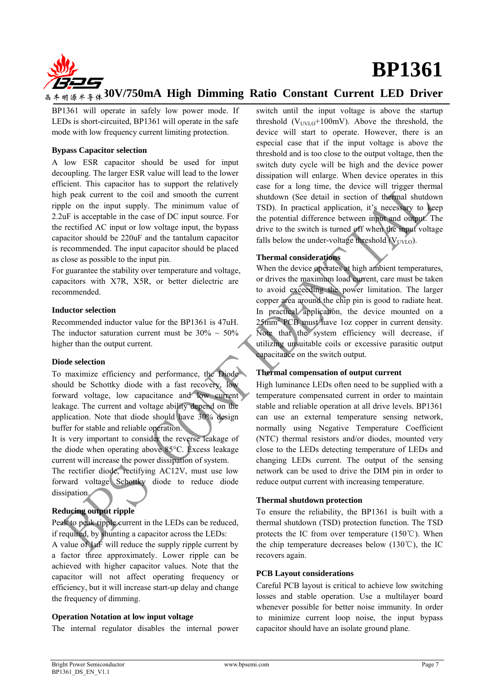



# **30V/750mA High Dimming Ratio Constant Current LED Driver**

BP1361 will operate in safely low power mode. If LEDs is short-circuited, BP1361 will operate in the safe mode with low frequency current limiting protection.

#### **Bypass Capacitor selection**

A low ESR capacitor should be used for input decoupling. The larger ESR value will lead to the lower efficient. This capacitor has to support the relatively high peak current to the coil and smooth the current ripple on the input supply. The minimum value of 2.2uF is acceptable in the case of DC input source. For the rectified AC input or low voltage input, the bypass capacitor should be 220uF and the tantalum capacitor is recommended. The input capacitor should be placed as close as possible to the input pin.

For guarantee the stability over temperature and voltage, capacitors with X7R, X5R, or better dielectric are recommended.

#### **Inductor selection**

Recommended inductor value for the BP1361 is 47uH. The inductor saturation current must be  $30\% \sim 50\%$ higher than the output current.

#### **Diode selection**

To maximize efficiency and performance, the Diode should be Schottky diode with a fast recovery, low forward voltage, low capacitance and low current leakage. The current and voltage ability depend on the application. Note that diode should have 30% design buffer for stable and reliable operation.

It is very important to consider the reverse leakage of the diode when operating above 85°C. Excess leakage current will increase the power dissipation of system.

The rectifier diode, rectifying AC12V, must use low forward voltage Schottky diode to reduce diode dissipation.

#### **Reducing output ripple**

Peak to peak ripple current in the LEDs can be reduced, if required, by shunting a capacitor across the LEDs:

A value of 1uF will reduce the supply ripple current by a factor three approximately. Lower ripple can be achieved with higher capacitor values. Note that the capacitor will not affect operating frequency or efficiency, but it will increase start-up delay and change the frequency of dimming.

#### **Operation Notation at low input voltage**

The internal regulator disables the internal power

switch until the input voltage is above the startup threshold  $(V<sub>UVLO</sub>+100mV)$ . Above the threshold, the device will start to operate. However, there is an especial case that if the input voltage is above the threshold and is too close to the output voltage, then the switch duty cycle will be high and the device power dissipation will enlarge. When device operates in this case for a long time, the device will trigger thermal shutdown (See detail in section of thermal shutdown TSD). In practical application, it's necessary to keep the potential difference between input and output. The drive to the switch is turned off when the input voltage falls below the under-voltage threshold  $(V_{UVLO})$ .

#### **Thermal considerations**

When the device operates at high ambient temperatures, or drives the maximum load current, care must be taken to avoid exceeding the power limitation. The larger copper area around the chip pin is good to radiate heat. In practical application, the device mounted on a 25mm2 PCB must have 1oz copper in current density. Note that the system efficiency will decrease, if utilizing unsuitable coils or excessive parasitic output capacitance on the switch output.

#### **Thermal compensation of output current**

High luminance LEDs often need to be supplied with a temperature compensated current in order to maintain stable and reliable operation at all drive levels. BP1361 can use an external temperature sensing network, normally using Negative Temperature Coefficient (NTC) thermal resistors and/or diodes, mounted very close to the LEDs detecting temperature of LEDs and changing LEDs current. The output of the sensing network can be used to drive the DIM pin in order to reduce output current with increasing temperature.

#### **Thermal shutdown protection**

To ensure the reliability, the BP1361 is built with a thermal shutdown (TSD) protection function. The TSD protects the IC from over temperature (150℃). When the chip temperature decreases below (130℃), the IC recovers again.

#### **PCB Layout considerations**

Careful PCB layout is critical to achieve low switching losses and stable operation. Use a multilayer board whenever possible for better noise immunity. In order to minimize current loop noise, the input bypass capacitor should have an isolate ground plane.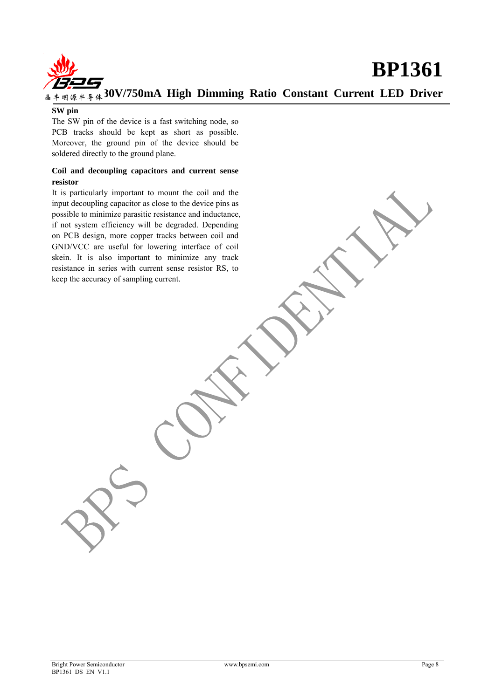

#### **SW pin**

The SW pin of the device is a fast switching node, so PCB tracks should be kept as short as possible. Moreover, the ground pin of the device should be soldered directly to the ground plane.

#### **Coil and decoupling capacitors and current sense resistor**

It is particularly important to mount the coil and the input decoupling capacitor as close to the device pins as possible to minimize parasitic resistance and inductance, if not system efficiency will be degraded. Depending on PCB design, more copper tracks between coil and GND/VCC are useful for lowering interface of coil skein. It is also important to minimize any track resistance in series with current sense resistor RS, to keep the accuracy of sampling current.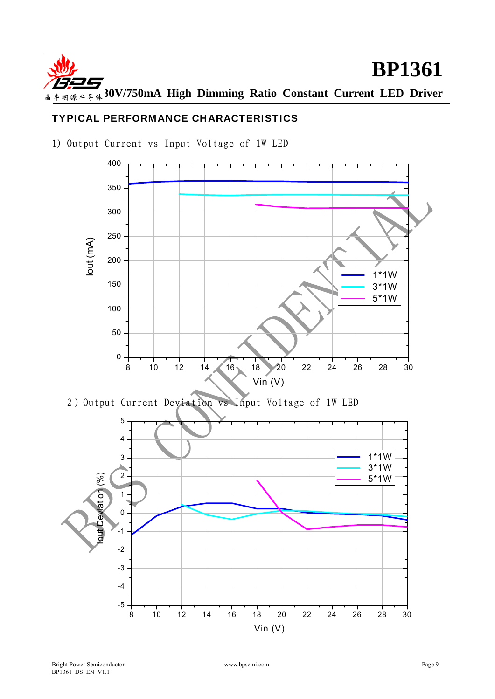

# TYPICAL PERFORMANCE CHARACTERISTICS

1) Output Current vs Input Voltage of 1W LED

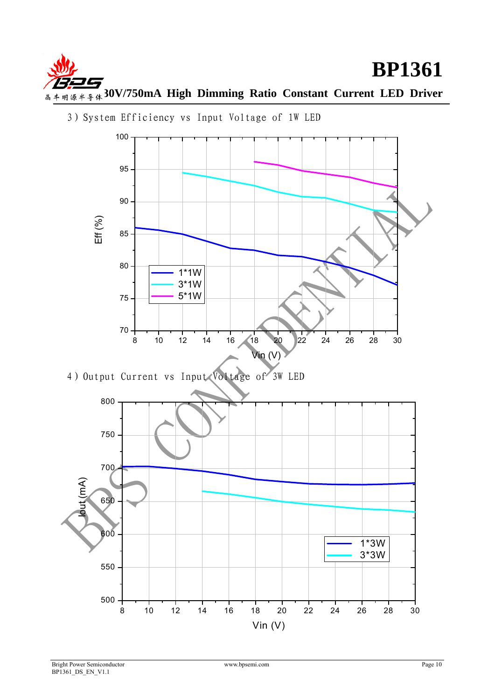



3)System Efficiency vs Input Voltage of 1W LED

4) Output Current vs Input Voltage of 3W LED

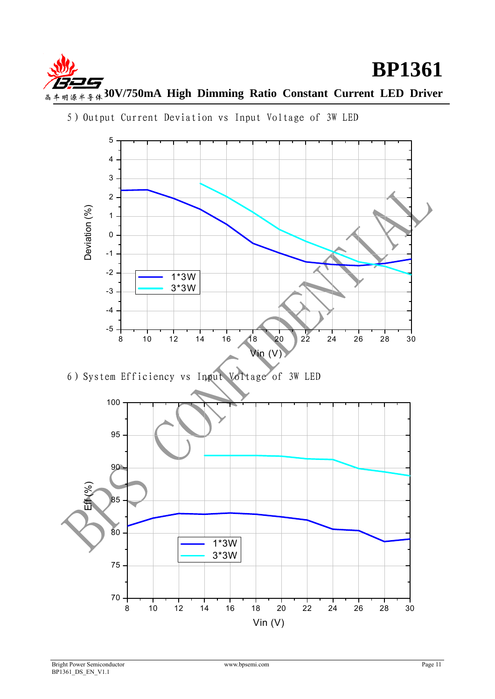



5)Output Current Deviation vs Input Voltage of 3W LED

6)System Efficiency vs Input Voltage of 3W LED

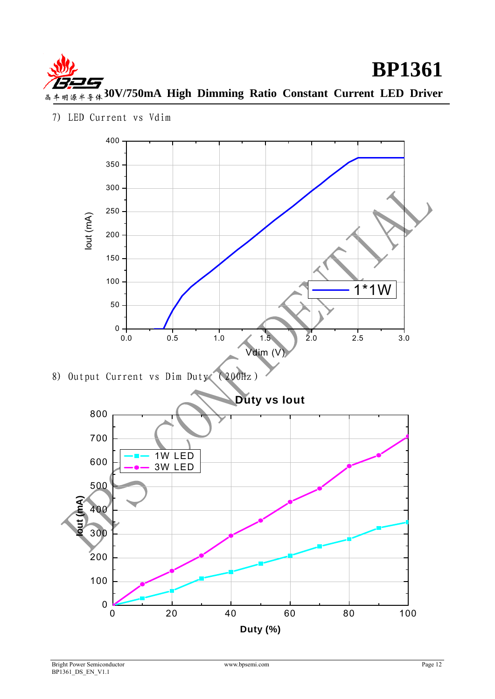



7) LED Current vs Vdim

**Duty (%)**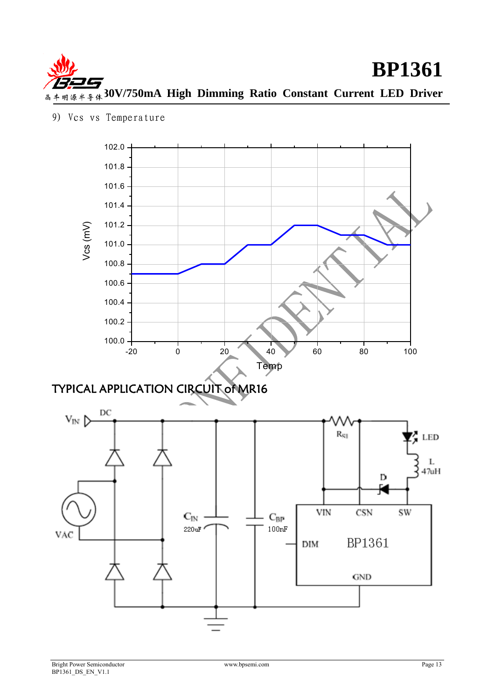

<sup>9)</sup> Vcs vs Temperature